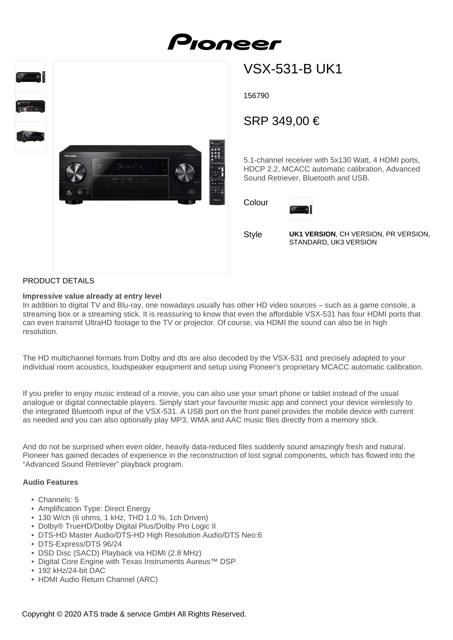



# VSX-531-B UK1

156790

# SRP 349,00 €

5.1-channel receiver with 5x130 Watt, 4 HDMI ports, HDCP 2.2, MCACC automatic calibration, Advanced Sound Retriever, Bluetooth and USB.

Colour



**Style** 

**UK1 VERSION**, CH VERSION, PR VERSION, STANDARD, UK3 VERSION

# PRODUCT DETAILS

#### **Impressive value already at entry level**

In addition to digital TV and Blu-ray, one nowadays usually has other HD video sources – such as a game console, a streaming box or a streaming stick. It is reassuring to know that even the affordable VSX-531 has four HDMI ports that can even transmit UltraHD footage to the TV or projector. Of course, via HDMI the sound can also be in high resolution.

The HD multichannel formats from Dolby and dts are also decoded by the VSX-531 and precisely adapted to your individual room acoustics, loudspeaker equipment and setup using Pioneer's proprietary MCACC automatic calibration.

If you prefer to enjoy music instead of a movie, you can also use your smart phone or tablet instead of the usual analogue or digital connectable players. Simply start your favourite music app and connect your device wirelessly to the integrated Bluetooth input of the VSX-531. A USB port on the front panel provides the mobile device with current as needed and you can also optionally play MP3, WMA and AAC music files directly from a memory stick.

And do not be surprised when even older, heavily data-reduced files suddenly sound amazingly fresh and natural. Pioneer has gained decades of experience in the reconstruction of lost signal components, which has flowed into the "Advanced Sound Retriever" playback program.

### **Audio Features**

- Channels: 5
- Amplification Type: Direct Energy
- 130 W/ch (6 ohms, 1 kHz, THD 1.0 %, 1ch Driven)
- Dolby® TrueHD/Dolby Digital Plus/Dolby Pro Logic II
- DTS-HD Master Audio/DTS-HD High Resolution Audio/DTS Neo:6
- DTS-Express/DTS 96/24
- DSD Disc (SACD) Playback via HDMI (2.8 MHz)
- Digital Core Engine with Texas Instruments Aureus™ DSP
- 192 kHz/24-bit DAC
- HDMI Audio Return Channel (ARC)

Copyright © 2020 ATS trade & service GmbH All Rights Reserved.